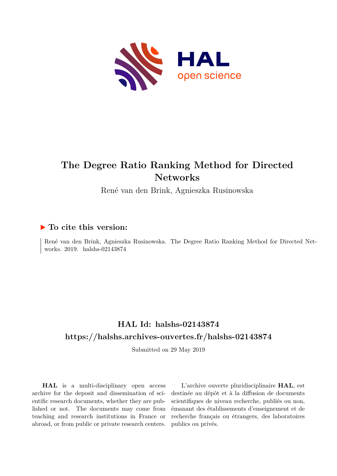

# **The Degree Ratio Ranking Method for Directed Networks**

René van den Brink, Agnieszka Rusinowska

## **To cite this version:**

René van den Brink, Agnieszka Rusinowska. The Degree Ratio Ranking Method for Directed Networks. 2019. halshs-02143874

# **HAL Id: halshs-02143874 <https://halshs.archives-ouvertes.fr/halshs-02143874>**

Submitted on 29 May 2019

**HAL** is a multi-disciplinary open access archive for the deposit and dissemination of scientific research documents, whether they are published or not. The documents may come from teaching and research institutions in France or abroad, or from public or private research centers.

L'archive ouverte pluridisciplinaire **HAL**, est destinée au dépôt et à la diffusion de documents scientifiques de niveau recherche, publiés ou non, émanant des établissements d'enseignement et de recherche français ou étrangers, des laboratoires publics ou privés.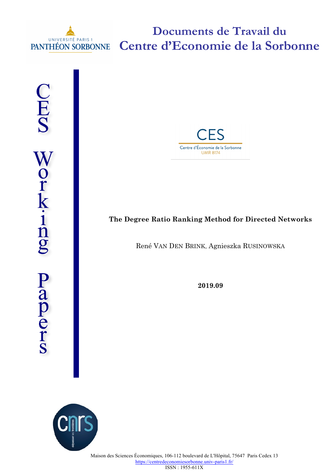

**Documents de Travail du Centre d'Economie de la Sorbonne**

CES Work-ing Papers



# **The Degree Ratio Ranking Method for Directed Networks**

René VAN DEN BRINK, Agnieszka RUSINOWSKA

**2019.09**

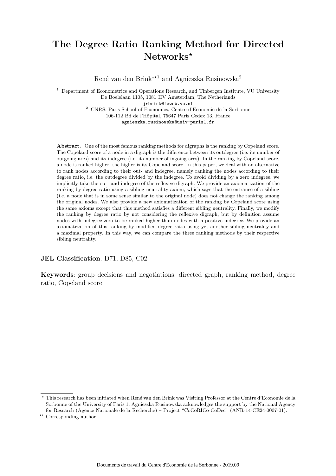# The Degree Ratio Ranking Method for Directed  $Networks^{\star}$

René van den Brink<sup>\*\*1</sup> and Agnieszka Rusinowska<sup>2</sup>

<sup>1</sup> Department of Econometrics and Operations Research, and Tinbergen Institute, VU University De Boelelaan 1105, 1081 HV Amsterdam, The Netherlands jrbrink@feweb.vu.nl <sup>2</sup> CNRS, Paris School of Economics, Centre d'Economie de la Sorbonne 106-112 Bd de l'Hˆopital, 75647 Paris Cedex 13, France

agnieszka.rusinowska@univ-paris1.fr

Abstract. One of the most famous ranking methods for digraphs is the ranking by Copeland score. The Copeland score of a node in a digraph is the difference between its outdegree (i.e. its number of outgoing arcs) and its indegree (i.e. its number of ingoing arcs). In the ranking by Copeland score, a node is ranked higher, the higher is its Copeland score. In this paper, we deal with an alternative to rank nodes according to their out- and indegree, namely ranking the nodes according to their degree ratio, i.e. the outdegree divided by the indegree. To avoid dividing by a zero indegree, we implicitly take the out- and indegree of the reflexive digraph. We provide an axiomatization of the ranking by degree ratio using a sibling neutrality axiom, which says that the entrance of a sibling (i.e. a node that is in some sense similar to the original node) does not change the ranking among the original nodes. We also provide a new axiomatization of the ranking by Copeland score using the same axioms except that this method satisfies a different sibling neutrality. Finally, we modify the ranking by degree ratio by not considering the reflexive digraph, but by definition assume nodes with indegree zero to be ranked higher than nodes with a positive indegree. We provide an axiomatization of this ranking by modified degree ratio using yet another sibling neutrality and a maximal property. In this way, we can compare the three ranking methods by their respective sibling neutrality.

#### JEL Classification: D71, D85, C02

Keywords: group decisions and negotiations, directed graph, ranking method, degree ratio, Copeland score

<sup>⋆</sup> This research has been initiated when Ren´e van den Brink was Visiting Professor at the Centre d'Economie de la Sorbonne of the University of Paris 1. Agnieszka Rusinowska acknowledges the support by the National Agency for Research (Agence Nationale de la Recherche) – Project "CoCoRICo-CoDec" (ANR-14-CE24-0007-01).

<sup>⋆⋆</sup> Corresponding author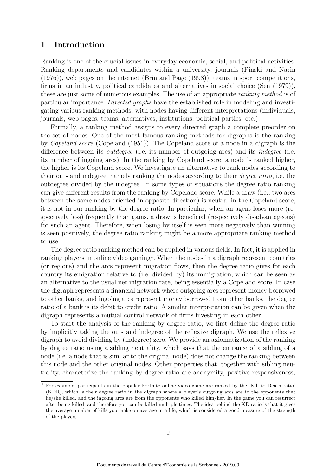## 1 Introduction

Ranking is one of the crucial issues in everyday economic, social, and political activities. Ranking departments and candidates within a university, journals (Pinski and Narin (1976)), web pages on the internet (Brin and Page (1998)), teams in sport competitions, firms in an industry, political candidates and alternatives in social choice (Sen (1979)), these are just some of numerous examples. The use of an appropriate *ranking method* is of particular importance. Directed graphs have the established role in modeling and investigating various ranking methods, with nodes having different interpretations (individuals, journals, web pages, teams, alternatives, institutions, political parties, etc.).

Formally, a ranking method assigns to every directed graph a complete preorder on the set of nodes. One of the most famous ranking methods for digraphs is the ranking by Copeland score (Copeland (1951)). The Copeland score of a node in a digraph is the difference between its *outdegree* (i.e. its number of outgoing arcs) and its *indegree* (i.e. its number of ingoing arcs). In the ranking by Copeland score, a node is ranked higher, the higher is its Copeland score. We investigate an alternative to rank nodes according to their out- and indegree, namely ranking the nodes according to their degree ratio, i.e. the outdegree divided by the indegree. In some types of situations the degree ratio ranking can give different results from the ranking by Copeland score. While a draw (i.e., two arcs between the same nodes oriented in opposite direction) is neutral in the Copeland score, it is not in our ranking by the degree ratio. In particular, when an agent loses more (respectively less) frequently than gains, a draw is beneficial (respectively disadvantageous) for such an agent. Therefore, when losing by itself is seen more negatively than winning is seen positively, the degree ratio ranking might be a more appropriate ranking method to use.

The degree ratio ranking method can be applied in various fields. In fact, it is applied in ranking players in online video gaming<sup>1</sup>. When the nodes in a digraph represent countries (or regions) and the arcs represent migration flows, then the degree ratio gives for each country its emigration relative to (i.e. divided by) its immigration, which can be seen as an alternative to the usual net migration rate, being essentially a Copeland score. In case the digraph represents a financial network where outgoing arcs represent money borrowed to other banks, and ingoing arcs represent money borrowed from other banks, the degree ratio of a bank is its debit to credit ratio. A similar interpretation can be given when the digraph represents a mutual control network of firms investing in each other.

To start the analysis of the ranking by degree ratio, we first define the degree ratio by implicitly taking the out- and indegree of the reflexive digraph. We use the reflexive digraph to avoid dividing by (indegree) zero. We provide an axiomatization of the ranking by degree ratio using a sibling neutrality, which says that the entrance of a sibling of a node (i.e. a node that is similar to the original node) does not change the ranking between this node and the other original nodes. Other properties that, together with sibling neutrality, characterize the ranking by degree ratio are anonymity, positive responsiveness,

 $<sup>1</sup>$  For example, participants in the popular Fortnite online video game are ranked by the 'Kill to Death ratio'</sup> (KDR), which is their degree ratio in the digraph where a player's outgoing arcs are to the opponents that he/she killed, and the ingoing arcs are from the opponents who killed him/her. In the game you can resurrect after being killed, and therefore you can be killed multiple times. The idea behind the KD ratio is that it gives the average number of kills you make on average in a life, which is considered a good measure of the strength of the players.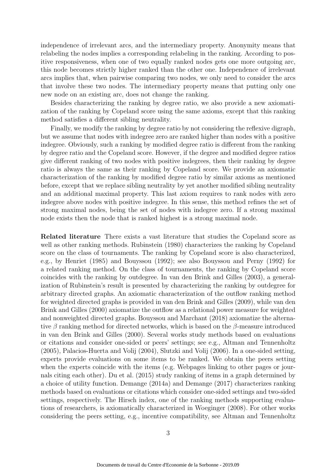independence of irrelevant arcs, and the intermediary property. Anonymity means that relabeling the nodes implies a corresponding relabeling in the ranking. According to positive responsiveness, when one of two equally ranked nodes gets one more outgoing arc, this node becomes strictly higher ranked than the other one. Independence of irrelevant arcs implies that, when pairwise comparing two nodes, we only need to consider the arcs that involve these two nodes. The intermediary property means that putting only one new node on an existing arc, does not change the ranking.

Besides characterizing the ranking by degree ratio, we also provide a new axiomatization of the ranking by Copeland score using the same axioms, except that this ranking method satisfies a different sibling neutrality.

Finally, we modify the ranking by degree ratio by not considering the reflexive digraph, but we assume that nodes with indegree zero are ranked higher than nodes with a positive indegree. Obviously, such a ranking by modified degree ratio is different from the ranking by degree ratio and the Copeland score. However, if the degree and modified degree ratios give different ranking of two nodes with positive indegrees, then their ranking by degree ratio is always the same as their ranking by Copeland score. We provide an axiomatic characterization of the ranking by modified degree ratio by similar axioms as mentioned before, except that we replace sibling neutrality by yet another modified sibling neutrality and an additional maximal property. This last axiom requires to rank nodes with zero indegree above nodes with positive indegree. In this sense, this method refines the set of strong maximal nodes, being the set of nodes with indegree zero. If a strong maximal node exists then the node that is ranked highest is a strong maximal node.

Related literature There exists a vast literature that studies the Copeland score as well as other ranking methods. Rubinstein (1980) characterizes the ranking by Copeland score on the class of tournaments. The ranking by Copeland score is also characterized, e.g., by Henriet (1985) and Bouyssou (1992); see also Bouyssou and Perny (1992) for a related ranking method. On the class of tournaments, the ranking by Copeland score coincides with the ranking by outdegree. In van den Brink and Gilles (2003), a generalization of Rubinstein's result is presented by characterizing the ranking by outdegree for arbitrary directed graphs. An axiomatic characterization of the outflow ranking method for weighted directed graphs is provided in van den Brink and Gilles (2009), while van den Brink and Gilles (2000) axiomatize the outflow as a relational power measure for weighted and nonweighted directed graphs. Bouyssou and Marchant (2018) axiomatize the alternative  $\beta$  ranking method for directed networks, which is based on the  $\beta$ -measure introduced in van den Brink and Gilles (2000). Several works study methods based on evaluations or citations and consider one-sided or peers' settings; see e.g., Altman and Tennenholtz (2005), Palacios-Huerta and Volij (2004), Slutzki and Volij (2006). In a one-sided setting, experts provide evaluations on some items to be ranked. We obtain the peers setting when the experts coincide with the items (e.g. Webpages linking to other pages or journals citing each other). Du et al. (2015) study ranking of items in a graph determined by a choice of utility function. Demange (2014a) and Demange (2017) characterizes ranking methods based on evaluations or citations which consider one-sided settings and two-sided settings, respectively. The Hirsch index, one of the ranking methods supporting evaluations of researchers, is axiomatically characterized in Woeginger (2008). For other works considering the peers setting, e.g., incentive compatibility, see Altman and Tennenholtz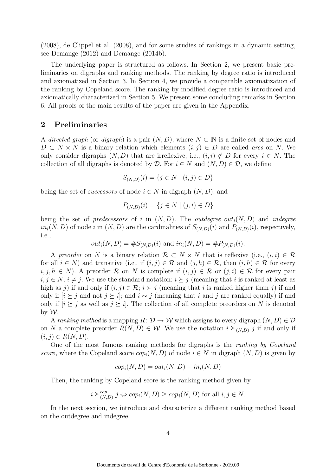(2008), de Clippel et al. (2008), and for some studies of rankings in a dynamic setting, see Demange (2012) and Demange (2014b).

The underlying paper is structured as follows. In Section 2, we present basic preliminaries on digraphs and ranking methods. The ranking by degree ratio is introduced and axiomatized in Section 3. In Section 4, we provide a comparable axiomatization of the ranking by Copeland score. The ranking by modified degree ratio is introduced and axiomatically characterized in Section 5. We present some concluding remarks in Section 6. All proofs of the main results of the paper are given in the Appendix.

### 2 Preliminaries

A directed graph (or digraph) is a pair  $(N, D)$ , where  $N \subset \mathbb{N}$  is a finite set of nodes and  $D \subset N \times N$  is a binary relation which elements  $(i, j) \in D$  are called *arcs* on N. We only consider digraphs  $(N, D)$  that are irreflexive, i.e.,  $(i, i) \notin D$  for every  $i \in N$ . The collection of all digraphs is denoted by  $\mathcal{D}$ . For  $i \in N$  and  $(N, D) \in \mathcal{D}$ , we define

$$
S_{(N,D)}(i) = \{ j \in N \mid (i,j) \in D \}
$$

being the set of *successors* of node  $i \in N$  in digraph  $(N, D)$ , and

$$
P_{(N,D)}(i) = \{ j \in N \mid (j,i) \in D \}
$$

being the set of predecessors of i in  $(N, D)$ . The *outdegree out*<sub>i</sub> $(N, D)$  and *indegree*  $in_i(N, D)$  of node i in  $(N, D)$  are the cardinalities of  $S_{(N,D)}(i)$  and  $P_{(N,D)}(i)$ , respectively, i.e.,

$$
out_i(N, D) = #S_{(N,D)}(i)
$$
 and  $in_i(N, D) = #P_{(N,D)}(i)$ .

A preorder on N is a binary relation  $\mathcal{R} \subset N \times N$  that is reflexive (i.e.,  $(i, i) \in \mathcal{R}$ for all  $i \in N$ ) and transitive (i.e., if  $(i, j) \in \mathcal{R}$  and  $(j, h) \in \mathcal{R}$ , then  $(i, h) \in \mathcal{R}$  for every  $i, j, h \in N$ ). A preorder R on N is complete if  $(i, j) \in \mathcal{R}$  or  $(j, i) \in \mathcal{R}$  for every pair  $i, j \in N$ ,  $i \neq j$ . We use the standard notation:  $i \succeq j$  (meaning that i is ranked at least as high as j) if and only if  $(i, j) \in \mathcal{R}$ ;  $i \succ j$  (meaning that i is ranked higher than j) if and only if  $[i \geq j$  and not  $j \geq i$ ; and  $i \sim j$  (meaning that i and j are ranked equally) if and only if  $[i \geq j]$  as well as  $j \geq i$ . The collection of all complete preorders on N is denoted by  $\mathcal W$ .

A ranking method is a mapping  $R: \mathcal{D} \to \mathcal{W}$  which assigns to every digraph  $(N, D) \in \mathcal{D}$ on N a complete preorder  $R(N, D) \in W$ . We use the notation  $i \succeq_{(N,D)} j$  if and only if  $(i, j) \in R(N, D).$ 

One of the most famous ranking methods for digraphs is the ranking by Copeland score, where the Copeland score  $cop_i(N, D)$  of node  $i \in N$  in digraph  $(N, D)$  is given by

$$
cop_i(N, D) = out_i(N, D) - in_i(N, D)
$$

Then, the ranking by Copeland score is the ranking method given by

$$
i \geq_{(N,D)}^{cop} j \Leftrightarrow cop_i(N,D) \geq cop_j(N,D)
$$
 for all  $i, j \in N$ .

In the next section, we introduce and characterize a different ranking method based on the outdegree and indegree.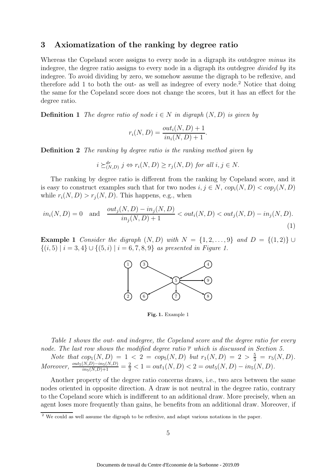### 3 Axiomatization of the ranking by degree ratio

Whereas the Copeland score assigns to every node in a digraph its outdegree minus its indegree, the degree ratio assigns to every node in a digraph its outdegree divided by its indegree. To avoid dividing by zero, we somehow assume the digraph to be reflexive, and therefore add 1 to both the out- as well as indegree of every node.<sup>2</sup> Notice that doing the same for the Copeland score does not change the scores, but it has an effect for the degree ratio.

**Definition 1** The degree ratio of node  $i \in N$  in digraph  $(N, D)$  is given by

$$
r_i(N, D) = \frac{out_i(N, D) + 1}{in_i(N, D) + 1}.
$$

Definition 2 The ranking by degree ratio is the ranking method given by

$$
i \succeq_{(N,D)}^{dr} j \Leftrightarrow r_i(N,D) \ge r_j(N,D) \text{ for all } i, j \in N.
$$

The ranking by degree ratio is different from the ranking by Copeland score, and it is easy to construct examples such that for two nodes  $i, j \in N$ ,  $cop_i(N, D) < cop_i(N, D)$ while  $r_i(N, D) > r_i(N, D)$ . This happens, e.g., when

$$
in_i(N, D) = 0 \text{ and } \frac{out_j(N, D) - in_j(N, D)}{in_j(N, D) + 1} < out_i(N, D) < out_j(N, D) - in_j(N, D). \tag{1}
$$

Example 1 Consider the digraph  $(N, D)$  with  $N = \{1, 2, \ldots, 9\}$  and  $D = \{(1, 2)\} \cup$  $\{(i,5) | i = 3,4\} \cup \{(5,i) | i = 6,7,8,9\}$  as presented in Figure 1.



Fig. 1. Example 1

Table 1 shows the out- and indegree, the Copeland score and the degree ratio for every node. The last row shows the modified degree ratio  $\overline{r}$  which is discussed in Section 5.

Note that  $cop_1(N, D) = 1 < 2 = cop_5(N, D)$  but  $r_1(N, D) = 2 > \frac{5}{3} = r_5(N, D)$ . Moreover,  $\frac{out_5(N,D)-in_5(N,D)}{ins(N,D)+1} = \frac{2}{3} < 1 = out_1(N,D) < 2 = out_5(N,D) - in_5(N,D)$ .

Another property of the degree ratio concerns draws, i.e., two arcs between the same nodes oriented in opposite direction. A draw is not neutral in the degree ratio, contrary to the Copeland score which is indifferent to an additional draw. More precisely, when an agent loses more frequently than gains, he benefits from an additional draw. Moreover, if

<sup>&</sup>lt;sup>2</sup> We could as well assume the digraph to be reflexive, and adapt various notations in the paper.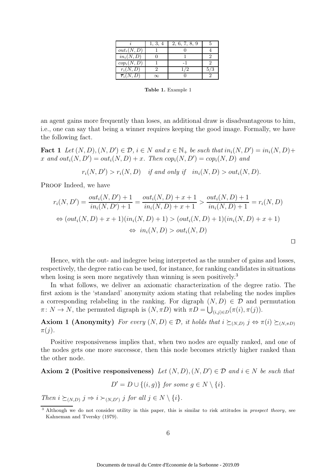|                         | 1, 3, 4 | 2, 6, 7, 8, 9 |  |
|-------------------------|---------|---------------|--|
| $out_i(N, D)$           |         |               |  |
| $in_i(N, \overline{D})$ |         |               |  |
| $cop_i(N, D)$           |         |               |  |
| $r_i(N, D)$             |         |               |  |
| $\overline{r}_i(N, D)$  |         |               |  |

Table 1. Example 1

an agent gains more frequently than loses, an additional draw is disadvantageous to him, i.e., one can say that being a winner requires keeping the good image. Formally, we have the following fact.

**Fact 1** Let  $(N, D), (N, D') \in \mathcal{D}$ ,  $i \in N$  and  $x \in \mathbb{N}_+$  be such that  $in_i(N, D') = in_i(N, D) +$ x and  $out_i(N, D') = out_i(N, D) + x$ . Then  $cop_i(N, D') = cop_i(N, D)$  and

 $r_i(N, D') > r_i(N, D)$  if and only if  $in_i(N, D) > out_i(N, D)$ .

PROOF Indeed, we have

$$
r_i(N, D') = \frac{out_i(N, D') + 1}{in_i(N, D') + 1} = \frac{out_i(N, D) + x + 1}{in_i(N, D) + x + 1} > \frac{out_i(N, D) + 1}{in_i(N, D) + 1} = r_i(N, D)
$$
  
\n
$$
\Leftrightarrow (out_i(N, D) + x + 1)(in_i(N, D) + 1) > (out_i(N, D) + 1)(in_i(N, D) + x + 1)
$$
  
\n
$$
\Leftrightarrow in_i(N, D) > out_i(N, D)
$$

Hence, with the out- and indegree being interpreted as the number of gains and losses, respectively, the degree ratio can be used, for instance, for ranking candidates in situations when losing is seen more negatively than winning is seen positively.<sup>3</sup>

In what follows, we deliver an axiomatic characterization of the degree ratio. The first axiom is the 'standard' anonymity axiom stating that relabeling the nodes implies a corresponding relabeling in the ranking. For digraph  $(N, D) \in \mathcal{D}$  and permutation  $\pi: N \to N$ , the permuted digraph is  $(N, \pi D)$  with  $\pi D = \bigcup_{(i,j)\in D} (\pi(i), \pi(j)).$ 

**Axiom 1 (Anonymity)** For every  $(N, D) \in \mathcal{D}$ , it holds that  $i \succeq_{(N,D)} j \Leftrightarrow \pi(i) \succeq_{(N,\pi D)} j$  $\pi(j)$ .

Positive responsiveness implies that, when two nodes are equally ranked, and one of the nodes gets one more successor, then this node becomes strictly higher ranked than the other node.

## Axiom 2 (Positive responsiveness) Let  $(N, D), (N, D') \in \mathcal{D}$  and  $i \in N$  be such that

$$
D' = D \cup \{(i, g)\} \text{ for some } g \in N \setminus \{i\}.
$$

Then  $i \succeq_{(N,D)} j \Rightarrow i \succ_{(N,D')} j$  for all  $j \in N \setminus \{i\}.$ 

<sup>&</sup>lt;sup>3</sup> Although we do not consider utility in this paper, this is similar to risk attitudes in *prospect theory*, see Kahneman and Tversky (1979).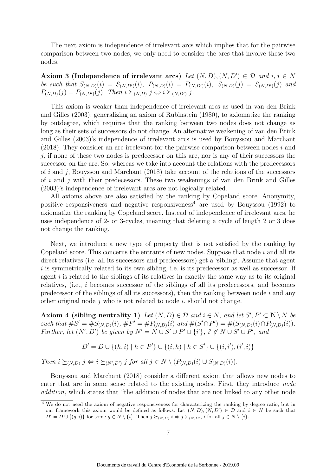The next axiom is independence of irrelevant arcs which implies that for the pairwise comparison between two nodes, we only need to consider the arcs that involve these two nodes.

Axiom 3 (Independence of irrelevant arcs) Let  $(N, D), (N, D') \in \mathcal{D}$  and  $i, j \in N$ be such that  $S_{(N,D)}(i) = S_{(N,D')}(i)$ ,  $P_{(N,D)}(i) = P_{(N,D')}(i)$ ,  $S_{(N,D)}(j) = S_{(N,D')}(j)$  and  $P_{(N,D)}(j) = P_{(N,D')}(j)$ . Then  $i \succeq_{(N,D')} j \Leftrightarrow i \succeq_{(N,D') } j$ .

This axiom is weaker than independence of irrelevant arcs as used in van den Brink and Gilles (2003), generalizing an axiom of Rubinstein (1980), to axiomatize the ranking by outdegree, which requires that the ranking between two nodes does not change as long as their sets of successors do not change. An alternative weakening of van den Brink and Gilles (2003)'s independence of irrelevant arcs is used by Bouyssou and Marchant  $(2018)$ . They consider an arc irrelevant for the pairwise comparison between nodes i and  $j$ , if none of these two nodes is predecessor on this arc, nor is any of their successors the successor on the arc. So, whereas we take into account the relations with the predecessors of i and j, Bouyssou and Marchant  $(2018)$  take account of the relations of the successors of  $i$  and  $j$  with their predecessors. These two weakenings of van den Brink and Gilles (2003)'s independence of irrelevant arcs are not logically related.

All axioms above are also satisfied by the ranking by Copeland score. Anonymity, positive responsiveness and negative responsiveness<sup>4</sup> are used by Bouyssou (1992) to axiomatize the ranking by Copeland score. Instead of independence of irrelevant arcs, he uses independence of 2- or 3-cycles, meaning that deleting a cycle of length 2 or 3 does not change the ranking.

Next, we introduce a new type of property that is not satisfied by the ranking by Copeland score. This concerns the entrants of new nodes. Suppose that node  $i$  and all its direct relatives (i.e. all its successors and predecessors) get a 'sibling'. Assume that agent i is symmetrically related to its own sibling, i.e. is its predecessor as well as successor. If agent  $i$  is related to the siblings of its relatives in exactly the same way as to its original relatives, (i.e., i becomes successor of the siblings of all its predecessors, and becomes predecessor of the siblings of all its successors), then the ranking between node  $i$  and any other original node  $j$  who is not related to node  $i$ , should not change.

Axiom 4 (sibling neutrality 1) Let  $(N, D) \in \mathcal{D}$  and  $i \in N$ , and let  $S', P' \subset \mathbb{N} \setminus N$  be such that  $\#S' = \#S_{(N,D)}(i)$ ,  $\#P' = \#P_{(N,D)}(i)$  and  $\#(S' \cap P') = \#(S_{(N,D)}(i) \cap P_{(N,D)}(i))$ . Further, let  $(N', D')$  be given by  $N' = N \cup S' \cup P' \cup \{i'\}$ ,  $i' \notin N \cup S' \cup P'$ , and

$$
D' = D \cup \{(h, i) \mid h \in P'\} \cup \{(i, h) \mid h \in S'\} \cup \{(i, i'), (i', i)\}
$$

Then  $i \succeq_{(N,D)} j \Leftrightarrow i \succeq_{(N',D')} j$  for all  $j \in N \setminus (P_{(N,D)}(i) \cup S_{(N,D)}(i)).$ 

Bouyssou and Marchant (2018) consider a different axiom that allows new nodes to enter that are in some sense related to the existing nodes. First, they introduce node addition, which states that "the addition of nodes that are not linked to any other node

<sup>&</sup>lt;sup>4</sup> We do not need the axiom of negative responsiveness for characterizing the ranking by degree ratio, but in our framework this axiom would be defined as follows: Let  $(N, D), (N, D') \in \mathcal{D}$  and  $i \in N$  be such that  $D' = D \cup \{(g, i)\}\)$  for some  $g \in N \setminus \{i\}$ . Then  $j \succeq_{(N,D)} i \Rightarrow j \succ_{(N,D')} i$  for all  $j \in N \setminus \{i\}$ .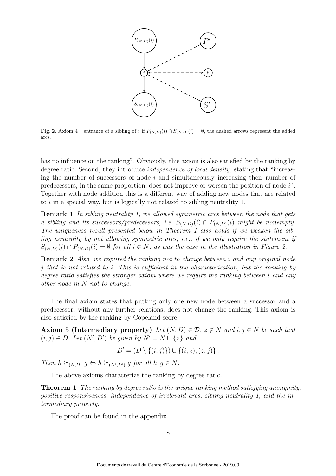

Fig. 2. Axiom 4 – entrance of a sibling of i if  $P_{(N,D)}(i) \cap S_{(N,D)}(i) = \emptyset$ , the dashed arrows represent the added arcs.

has no influence on the ranking". Obviously, this axiom is also satisfied by the ranking by degree ratio. Second, they introduce *independence of local density*, stating that "increasing the number of successors of node  $i$  and simultaneously increasing their number of predecessors, in the same proportion, does not improve or worsen the position of node i". Together with node addition this is a different way of adding new nodes that are related to i in a special way, but is logically not related to sibling neutrality 1.

**Remark 1** In sibling neutrality 1, we allowed symmetric arcs between the node that gets a sibling and its successors/predecessors, i.e.  $S_{(N,D)}(i) \cap P_{(N,D)}(i)$  might be nonempty. The uniqueness result presented below in Theorem 1 also holds if we weaken the sibling neutrality by not allowing symmetric arcs, i.e., if we only require the statement if  $S_{(N,D)}(i) \cap P_{(N,D)}(i) = \emptyset$  for all  $i \in N$ , as was the case in the illustration in Figure 2.

Remark 2 Also, we required the ranking not to change between i and any original node j that is not related to i. This is sufficient in the characterization, but the ranking by degree ratio satisfies the stronger axiom where we require the ranking between i and any other node in N not to change.

The final axiom states that putting only one new node between a successor and a predecessor, without any further relations, does not change the ranking. This axiom is also satisfied by the ranking by Copeland score.

Axiom 5 (Intermediary property) Let  $(N, D) \in \mathcal{D}$ ,  $z \notin N$  and  $i, j \in N$  be such that  $(i, j) \in D$ . Let  $(N', D')$  be given by  $N' = N \cup \{z\}$  and

$$
D' = (D \setminus \{(i,j)\}) \cup \{(i,z),(z,j)\}.
$$

Then  $h \succeq_{(N,D)} g \Leftrightarrow h \succeq_{(N',D')} g$  for all  $h, g \in N$ .

The above axioms characterize the ranking by degree ratio.

**Theorem 1** The ranking by degree ratio is the unique ranking method satisfying anonymity, positive responsiveness, independence of irrelevant arcs, sibling neutrality 1, and the intermediary property.

The proof can be found in the appendix.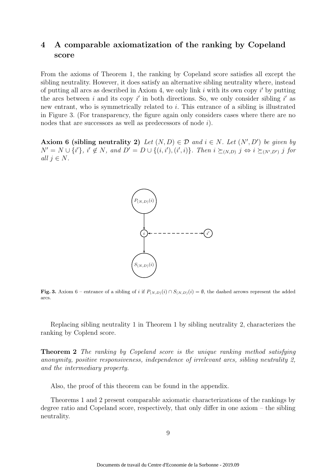## 4 A comparable axiomatization of the ranking by Copeland score

From the axioms of Theorem 1, the ranking by Copeland score satisfies all except the sibling neutrality. However, it does satisfy an alternative sibling neutrality where, instead of putting all arcs as described in Axiom 4, we only link  $i$  with its own copy  $i'$  by putting the arcs between i and its copy i' in both directions. So, we only consider sibling i' as new entrant, who is symmetrically related to i. This entrance of a sibling is illustrated in Figure 3. (For transparency, the figure again only considers cases where there are no nodes that are successors as well as predecessors of node *i*).

Axiom 6 (sibling neutrality 2) Let  $(N, D) \in \mathcal{D}$  and  $i \in N$ . Let  $(N', D')$  be given by  $N' = N \cup \{i'\}, i' \notin N$ , and  $D' = D \cup \{(i, i'), (i', i)\}.$  Then  $i \succeq_{(N,D)} j \Leftrightarrow i \succeq_{(N',D')} j$  for all  $j \in N$ .



Fig. 3. Axiom 6 – entrance of a sibling of i if  $P_{(N,D)}(i) \cap S_{(N,D)}(i) = \emptyset$ , the dashed arrows represent the added arcs.

Replacing sibling neutrality 1 in Theorem 1 by sibling neutrality 2, characterizes the ranking by Coplend score.

Theorem 2 The ranking by Copeland score is the unique ranking method satisfying anonymity, positive responsiveness, independence of irrelevant arcs, sibling neutrality 2, and the intermediary property.

Also, the proof of this theorem can be found in the appendix.

Theorems 1 and 2 present comparable axiomatic characterizations of the rankings by degree ratio and Copeland score, respectively, that only differ in one axiom – the sibling neutrality.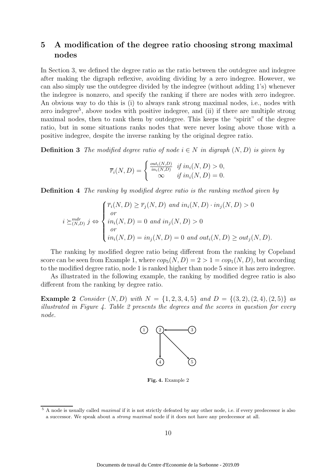## 5 A modification of the degree ratio choosing strong maximal nodes

In Section 3, we defined the degree ratio as the ratio between the outdegree and indegree after making the digraph reflexive, avoiding dividing by a zero indegree. However, we can also simply use the outdegree divided by the indegree (without adding 1's) whenever the indegree is nonzero, and specify the ranking if there are nodes with zero indegree. An obvious way to do this is (i) to always rank strong maximal nodes, i.e., nodes with zero indegree<sup>5</sup>, above nodes with positive indegree, and (ii) if there are multiple strong maximal nodes, then to rank them by outdegree. This keeps the "spirit" of the degree ratio, but in some situations ranks nodes that were never losing above those with a positive indegree, despite the inverse ranking by the original degree ratio.

**Definition 3** The modified degree ratio of node  $i \in N$  in digraph  $(N, D)$  is given by

$$
\overline{r}_i(N,D) = \begin{cases} \frac{out_i(N,D)}{in_i(N,D)} & \text{if } in_i(N,D) > 0, \\ \infty & \text{if } in_i(N,D) = 0. \end{cases}
$$

Definition 4 The ranking by modified degree ratio is the ranking method given by

$$
i \succeq_{(N,D)}^{mdr} j \Leftrightarrow \begin{cases} \overline{r}_i(N,D) \ge \overline{r}_j(N,D) \text{ and } in_i(N,D) \cdot in_j(N,D) > 0 \\ \text{or} \\ in_i(N,D) = 0 \text{ and } in_j(N,D) > 0 \\ \text{or} \\ in_i(N,D) = in_j(N,D) = 0 \text{ and } out_i(N,D) \ge out_j(N,D). \end{cases}
$$

The ranking by modified degree ratio being different from the ranking by Copeland score can be seen from Example 1, where  $\text{cop}_5(N, D) = 2 > 1 = \text{cop}_1(N, D)$ , but according to the modified degree ratio, node 1 is ranked higher than node 5 since it has zero indegree.

As illustrated in the following example, the ranking by modified degree ratio is also different from the ranking by degree ratio.

**Example 2** Consider  $(N, D)$  with  $N = \{1, 2, 3, 4, 5\}$  and  $D = \{(3, 2), (2, 4), (2, 5)\}$  as illustrated in Figure 4. Table 2 presents the degrees and the scores in question for every node.



Fig. 4. Example 2

 $5$  A node is usually called *maximal* if it is not strictly defeated by any other node, i.e. if every predecessor is also a successor. We speak about a strong maximal node if it does not have any predecessor at all.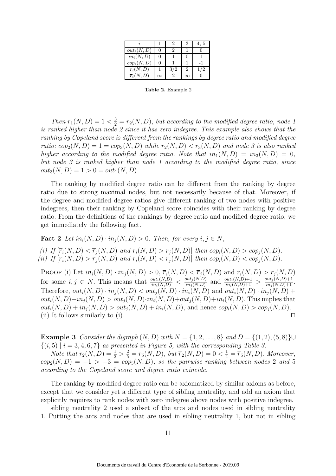|                       |     | 4.5 |
|-----------------------|-----|-----|
| $out_i(N, D)$         |     |     |
| $in_i(N, D)$          |     |     |
| $cop_i(N, D)$         |     |     |
| $r_i(N,D)$            | 3/2 |     |
| $\overline{r}_i(N,D)$ |     |     |

Table 2. Example 2

Then  $r_1(N, D) = 1 < \frac{3}{2} = r_2(N, D)$ , but according to the modified degree ratio, node 1 is ranked higher than node 2 since it has zero indegree. This example also shows that the ranking by Copeland score is different from the rankings by degree ratio and modified degree ratio:  $cop_2(N, D) = 1 = cop_3(N, D)$  while  $r_2(N, D) < r_3(N, D)$  and node 3 is also ranked higher according to the modified degree ratio. Note that  $in_1(N, D) = in_3(N, D) = 0$ , but node 3 is ranked higher than node 1 according to the modified degree ratio, since  $out_3(N, D) = 1 > 0 = out_1(N, D).$ 

The ranking by modified degree ratio can be different from the ranking by degree ratio due to strong maximal nodes, but not necessarily because of that. Moreover, if the degree and modified degree ratios give different ranking of two nodes with positive indegrees, then their ranking by Copeland score coincides with their ranking by degree ratio. From the definitions of the rankings by degree ratio and modified degree ratio, we get immediately the following fact.

Fact 2 Let  $in_i(N, D) \cdot in_i(N, D) > 0$ . Then, for every  $i, j \in N$ . (i) If  $[\overline{r_i}(N, D) < \overline{r_j}(N, D)$  and  $r_i(N, D) > r_j(N, D)]$  then  $cop_i(N, D) > cop_j(N, D)$ . (ii) If  $[\overline{r_i}(N, D) > \overline{r_j}(N, D)]$  and  $r_i(N, D) < r_j(N, D)]$  then  $cop_i(N, D) < cop_i(N, D)$ .

PROOF (i) Let  $in_i(N, D) \cdot in_j(N, D) > 0$ ,  $\overline{r}_i(N, D) < \overline{r}_j(N, D)$  and  $r_i(N, D) > r_j(N, D)$ for some  $i, j \in N$ . This means that  $\frac{out_i(N,D)}{in_i(N,D)} < \frac{out_j(N,D)}{in_j(N,D)}$  $\frac{\partial int_j(N,D)}{\partial in_j(N,D)}$  and  $\frac{\partial int_i(N,D)+1}{\partial in_i(N,D)+1}$  >  $\frac{\partial int_j(N,D)+1}{\partial in_j(N,D)+1}$ . Therefore,  $out_i(N, D) \cdot in_i(N, D) < out_i(N, D) \cdot in_i(N, D)$  and  $out_i(N, D) \cdot in_i(N, D)$  +  $out_i(N, D)+in_i(N, D) > out_i(N, D)\cdot in_i(N, D)+out_i(N, D)+in_i(N, D)$ . This implies that  $out_i(N, D) + in_i(N, D) > out_i(N, D) + in_i(N, D)$ , and hence  $cop_i(N, D) > cop_i(N, D)$ . (ii) It follows similarly to (i).  $□$ 

**Example 3** Consider the digraph  $(N, D)$  with  $N = \{1, 2, ..., 8\}$  and  $D = \{(1, 2), (5, 8)\}\cup$  $\{(i, 5) | i = 3, 4, 6, 7\}$  as presented in Figure 5, with the corresponding Table 3.

Note that  $r_2(N, D) = \frac{1}{2} > \frac{2}{5} = r_5(N, D)$ , but  $\overline{r}_2(N, D) = 0 < \frac{1}{4} = \overline{r}_5(N, D)$ . Moreover,  $cop_2(N, D) = -1 > -3 = cop_5(N, D)$ , so the pairwise ranking between nodes 2 and 5 according to the Copeland score and degree ratio coincide.

The ranking by modified degree ratio can be axiomatized by similar axioms as before, except that we consider yet a different type of sibling neutrality, and add an axiom that explicitly requires to rank nodes with zero indegree above nodes with positive indegree.

sibling neutrality 2 used a subset of the arcs and nodes used in sibling neutrality 1. Putting the arcs and nodes that are used in sibling neutrality 1, but not in sibling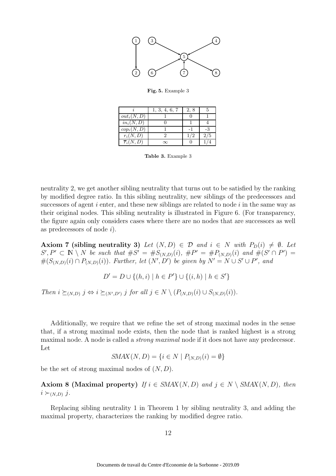

Fig. 5. Example 3

|                       | 1, 3, 4, 6, 7 | 2, 8 |     |
|-----------------------|---------------|------|-----|
| $out_i(N, D)$         |               |      |     |
| $in_i(N, D)$          |               |      |     |
| $cop_i(N, D)$         |               |      |     |
| $r_i(N,D)$            |               |      | 2/5 |
| $\overline{r_i(N,D)}$ | $\mathbf{x}$  |      |     |

Table 3. Example 3

neutrality 2, we get another sibling neutrality that turns out to be satisfied by the ranking by modified degree ratio. In this sibling neutrality, new siblings of the predecessors and successors of agent  $i$  enter, and these new siblings are related to node  $i$  in the same way as their original nodes. This sibling neutrality is illustrated in Figure 6. (For transparency, the figure again only considers cases where there are no nodes that are successors as well as predecessors of node  $i$ ).

Axiom 7 (sibling neutrality 3) Let  $(N, D) \in \mathcal{D}$  and  $i \in N$  with  $P_D(i) \neq \emptyset$ . Let  $S', P' \subset N \setminus N$  be such that  $\#S' = \#S_{(N,D)}(i)$ ,  $\#P' = \#P_{(N,D)}(i)$  and  $\#(S' \cap P') =$  $\#(S_{(N,D)}(i) \cap P_{(N,D)}(i))$ . Further, let  $(N',D')$  be given by  $N' = N \cup S' \cup P'$ , and

 $D' = D \cup \{(h, i) \mid h \in P'\} \cup \{(i, h) \mid h \in S'\}$ 

Then  $i \succeq_{(N,D)} j \Leftrightarrow i \succeq_{(N',D')} j$  for all  $j \in N \setminus (P_{(N,D)}(i) \cup S_{(N,D)}(i)).$ 

Additionally, we require that we refine the set of strong maximal nodes in the sense that, if a strong maximal node exists, then the node that is ranked highest is a strong maximal node. A node is called a *strong maximal* node if it does not have any predecessor. Let

$$
SMAX(N, D) = \{i \in N \mid P_{(N, D)}(i) = \emptyset\}
$$

be the set of strong maximal nodes of  $(N, D)$ .

Axiom 8 (Maximal property) If  $i \in \text{SMAX}(N, D)$  and  $j \in N \setminus \text{SMAX}(N, D)$ , then  $i \succ_{(N,D)} j$ .

Replacing sibling neutrality 1 in Theorem 1 by sibling neutrality 3, and adding the maximal property, characterizes the ranking by modified degree ratio.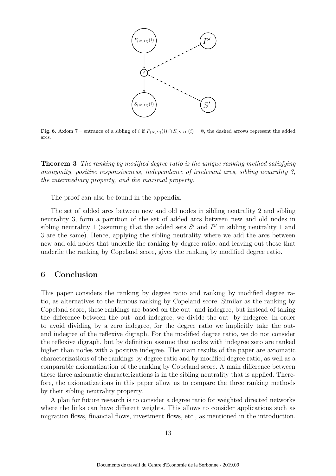

Fig. 6. Axiom 7 – entrance of a sibling of i if  $P_{(N,D)}(i) \cap S_{(N,D)}(i) = \emptyset$ , the dashed arrows represent the added arcs.

Theorem 3 The ranking by modified degree ratio is the unique ranking method satisfying anonymity, positive responsiveness, independence of irrelevant arcs, sibling neutrality 3, the intermediary property, and the maximal property.

The proof can also be found in the appendix.

The set of added arcs between new and old nodes in sibling neutrality 2 and sibling neutrality 3, form a partition of the set of added arcs between new and old nodes in sibling neutrality 1 (assuming that the added sets  $S'$  and  $P'$  in sibling neutrality 1 and 3 are the same). Hence, applying the sibling neutrality where we add the arcs between new and old nodes that underlie the ranking by degree ratio, and leaving out those that underlie the ranking by Copeland score, gives the ranking by modified degree ratio.

### 6 Conclusion

This paper considers the ranking by degree ratio and ranking by modified degree ratio, as alternatives to the famous ranking by Copeland score. Similar as the ranking by Copeland score, these rankings are based on the out- and indegree, but instead of taking the difference between the out- and indegree, we divide the out- by indegree. In order to avoid dividing by a zero indegree, for the degree ratio we implicitly take the outand indegree of the reflexive digraph. For the modified degree ratio, we do not consider the reflexive digraph, but by definition assume that nodes with indegree zero are ranked higher than nodes with a positive indegree. The main results of the paper are axiomatic characterizations of the rankings by degree ratio and by modified degree ratio, as well as a comparable axiomatization of the ranking by Copeland score. A main difference between these three axiomatic characterizations is in the sibling neutrality that is applied. Therefore, the axiomatizations in this paper allow us to compare the three ranking methods by their sibling neutrality property.

A plan for future research is to consider a degree ratio for weighted directed networks where the links can have different weights. This allows to consider applications such as migration flows, financial flows, investment flows, etc., as mentioned in the introduction.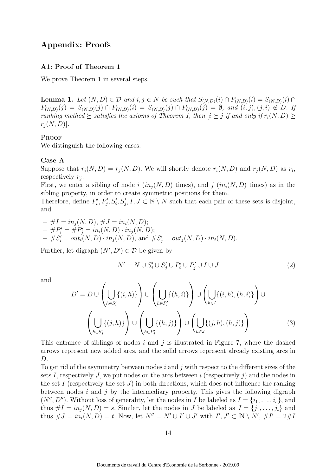## Appendix: Proofs

#### A1: Proof of Theorem 1

We prove Theorem 1 in several steps.

**Lemma 1.** Let  $(N, D) \in \mathcal{D}$  and  $i, j \in N$  be such that  $S_{(N,D)}(i) \cap P_{(N,D)}(i) = S_{(N,D)}(i) \cap D$  $P_{(N,D)}(j) = S_{(N,D)}(j) \cap P_{(N,D)}(i) = S_{(N,D)}(j) \cap P_{(N,D)}(j) = \emptyset$ , and  $(i, j), (j, i) \notin D$ . If ranking method  $\succeq$  satisfies the axioms of Theorem 1, then  $|i \succeq j$  if and only if  $r_i(N, D) \geq$  $r_i(N, D)$ .

#### **PROOF**

We distinguish the following cases:

#### Case A

Suppose that  $r_i(N, D) = r_j(N, D)$ . We will shortly denote  $r_i(N, D)$  and  $r_j(N, D)$  as  $r_i$ , respectively  $r_j$ .

First, we enter a sibling of node i  $(in_i(N, D)$  times), and j  $(in_i(N, D)$  times) as in the sibling property, in order to create symmetric positions for them.

Therefore, define  $P_i'$  $P'_i, P'_j, S'_i, S'_j, I, J \subset \mathbb{N} \setminus N$  such that each pair of these sets is disjoint, and

 $- \#I = in_i(N, D), \#J = in_i(N, D);$  $-$  #P'<sub>i</sub> = #P'<sub>j</sub> = in<sub>i</sub>(N, D) · in<sub>j</sub>(N, D);  $- \#S_i' = out_i(N, D) \cdot in_j(N, D), \text{ and } \#S_j' = out_j(N, D) \cdot in_i(N, D).$ 

Further, let digraph  $(N', D') \in \mathcal{D}$  be given by

$$
N' = N \cup S_i' \cup S_j' \cup P_i' \cup P_j' \cup I \cup J \tag{2}
$$

and

$$
D' = D \cup \left(\bigcup_{h \in S'_i} \{(i, h)\}\right) \cup \left(\bigcup_{h \in P'_i} \{(h, i)\}\right) \cup \left(\bigcup_{h \in I} \{(i, h), (h, i)\}\right) \cup \left(\bigcup_{h \in I} \{(j, h), (h, j)\}\right) \cup \left(\bigcup_{h \in S'_j} \{(j, h), (h, j)\}\right) \cup \left(\bigcup_{h \in J} \{(j, h), (h, j)\}\right) \tag{3}
$$

This entrance of siblings of nodes  $i$  and  $j$  is illustrated in Figure 7, where the dashed arrows represent new added arcs, and the solid arrows represent already existing arcs in D.

To get rid of the asymmetry between nodes  $i$  and  $j$  with respect to the different sizes of the sets I, respectively J, we put nodes on the arcs between i (respectively j) and the nodes in the set I (respectively the set J) in both directions, which does not influence the ranking between nodes  $i$  and  $j$  by the intermediary property. This gives the following digraph  $(N'', D'')$ . Without loss of generality, let the nodes in I be labeled as  $I = \{i_1, \ldots, i_s\}$ , and thus  $\#I = in_i(N, D) = s$ . Similar, let the nodes in J be labeled as  $J = \{j_1, \ldots, j_t\}$  and thus  $\#J = in_i(N, D) = t$ . Now, let  $N'' = N' \cup I' \cup J'$  with  $I', J' \subset \mathbb{N} \setminus N'$ ,  $\#I' = 2\#I$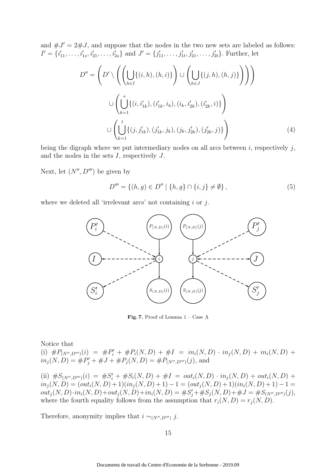and  $\#J' = 2\#J$ , and suppose that the nodes in the two new sets are labeled as follows:  $I' = \{i'_{11}, \ldots, i'_{1s}, i'_{21}, \ldots, i'_{2s}\}$  and  $J' = \{j'_{11}, \ldots, j'_{1t}, j'_{21}, \ldots, j'_{2t}\}.$  Further, let

$$
D'' = \left(D' \setminus \left(\left(\bigcup_{h \in I} \{(i, h), (h, i)\}\right) \cup \left(\bigcup_{h \in J} \{(j, h), (h, j)\}\right)\right)\right)
$$
  

$$
\cup \left(\bigcup_{k=1}^s \{(i, i'_{1k}), (i'_{1k}, i_k), (i_k, i'_{2k}), (i'_{2k}, i)\}\right)
$$
  

$$
\cup \left(\bigcup_{k=1}^t \{(j, j'_{1k}), (j'_{1k}, j_k), (j_k, j'_{2k}), (j'_{2k}, j)\}\right)
$$
(4)

being the digraph where we put intermediary nodes on all arcs between  $i$ , respectively  $j$ , and the nodes in the sets  $I$ , respectively  $J$ .

Next, let  $(N'', D''')$  be given by

$$
D''' = \{(h, g) \in D'' \mid \{h, g\} \cap \{i, j\} \neq \emptyset\},\tag{5}
$$

where we deleted all 'irrelevant arcs' not containing  $i$  or  $j$ .



Fig. 7. Proof of Lemma  $1 - \text{Case A}$ 

Notice that

(i)  $\#P_{(N'',D''')}(i) = \#P'_i + \#P_i(N,D) + \#I = in_i(N,D) \cdot in_j(N,D) + in_i(N,D) +$  $in_j(N, D) = \#P'_j + \#J + \#P_j(N, D) = \#P_{(N'', D''')}(j)$ , and

(ii)  $\#S_{(N'',D''')}(i) = \#S'_i + \#S_i(N,D) + \#I = out_i(N,D) \cdot in_j(N,D) + out_i(N,D) +$  $in_j(N, D) = (out_i(N, D) + 1)(in_j(N, D) + 1) - 1 = (out_j(N, D) + 1)(in_i(N, D) + 1) - 1 =$  $out_j(N, D) \cdot in_i(N, D) + out_j(N, D) + in_i(N, D) = \#S'_j + \#S_j(N, D) + \#J = \#S_{(N'', D''')}(j),$ where the fourth equality follows from the assumption that  $r_i(N, D) = r_i(N, D)$ .

Therefore, anonymity implies that  $i \sim_{(N'',D''')} j$ .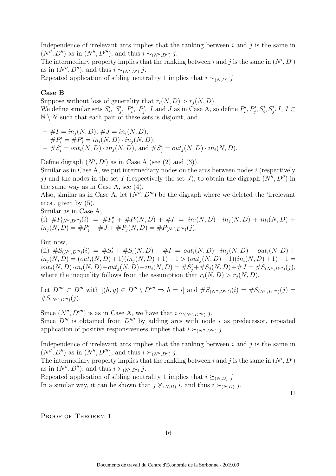Independence of irrelevant arcs implies that the ranking between  $i$  and  $j$  is the same in  $(N'', D'')$  as in  $(N'', D''')$ , and thus  $i \sim_{(N'', D'')} j$ .

The intermediary property implies that the ranking between i and j is the same in  $(N', D')$ as in  $(N'', D'')$ , and thus  $i \sim_{(N', D')} j$ .

Repeated application of sibling neutrality 1 implies that  $i \sim_{(N,D)} j$ .

#### Case B

Suppose without loss of generality that  $r_i(N, D) > r_i(N, D)$ . We define similar sets  $S_i'$  $S'_i$ ,  $S'_j$ ,  $P'_i$ ,  $P'_j$ , I and J as in Case A, so define  $P'_i$  $P'_i, P'_j, S'_i, S'_j, I, J \subset$  $\mathbb{N} \setminus N$  such that each pair of these sets is disjoint, and

 $- \#I = in_i(N, D), \#J = in_i(N, D);$  $-$  #P'<sub>i</sub> = #P'<sub>j</sub> = in<sub>i</sub>(N, D) · in<sub>j</sub>(N, D);  $-$  # $S_i' = out_i(N, D) \cdot in_j(N, D)$ , and # $S_j' = out_j(N, D) \cdot in_i(N, D)$ .

Define digraph  $(N', D')$  as in Case A (see  $(2)$  and  $(3)$ ).

Similar as in Case A, we put intermediary nodes on the arcs between nodes  $i$  (respectively j) and the nodes in the set I (respectively the set J), to obtain the digraph  $(N'', D'')$  in the same way as in Case A, see (4).

Also, similar as in Case A, let  $(N'', D''')$  be the digraph where we deleted the 'irrelevant' arcs', given by (5).

Similar as in Case A,

(i)  $\#P_{(N'',D''')}(i) = \#P'_i + \#P_i(N,D) + \#I = in_i(N,D) \cdot in_j(N,D) + in_i(N,D) +$  $in_j(N, D) = \#P'_j + \#J + \#P_j(N, D) = \#P_{(N'', D''')}(j).$ 

#### But now,

(ii)  $\#S_{(N'',D''')}(i) = \#S'_i + \#S_i(N,D) + \#I = out_i(N,D) \cdot in_j(N,D) + out_i(N,D) +$  $in_j(N, D) = (out_i(N, D) + 1)(in_j(N, D) + 1) - 1 > (out_j(N, D) + 1)(in_i(N, D) + 1) - 1 =$  $out_j(N, D) \cdot in_i(N, D) + out_j(N, D) + in_i(N, D) = \#S'_j + \#S_j(N, D) + \#J = \#S_{(N'', D''')}(j),$ where the inequality follows from the assumption that  $r_i(N, D) > r_i(N, D)$ .

Let  $D'''' \subset D'''$  with  $[(h, g) \in D''' \setminus D'''' \Rightarrow h = i]$  and  $#S_{(N'', D'''')}(i) = #S_{(N'', D'''')}(j) =$  $#S_{(N'',D''')}(j).$ 

Since  $(N'', D'''')$  is as in Case A, we have that  $i \sim_{(N'', D'''')} j$ . Since  $D^{\prime\prime\prime}$  is obtained from  $D^{\prime\prime\prime\prime}$  by adding arcs with node i as predecessor, repeated application of positive responsiveness implies that  $i \succ_{(N'',D''')} j$ .

Independence of irrelevant arcs implies that the ranking between  $i$  and  $j$  is the same in  $(N'', D'')$  as in  $(N'', D''')$ , and thus  $i \succ_{(N'', D'')} j$ .

The intermediary property implies that the ranking between i and j is the same in  $(N', D')$ as in  $(N'', D'')$ , and thus  $i \succ_{(N', D')} j$ .

Repeated application of sibling neutrality 1 implies that  $i \succeq_{(N,D)} j$ . In a similar way, it can be shown that  $j \npreceq_{(N,D)} i$ , and thus  $i \succ_{(N,D)} j$ .

⊓⊔

PROOF OF THEOREM 1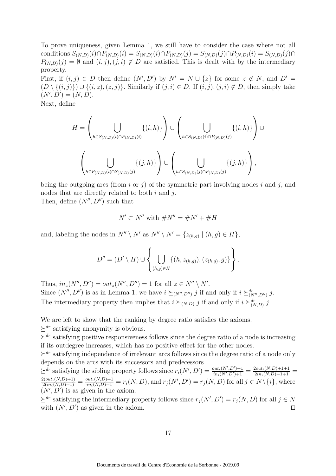To prove uniqueness, given Lemma 1, we still have to consider the case where not all conditions  $S_{(N,D)}(i) \cap P_{(N,D)}(i) = S_{(N,D)}(i) \cap P_{(N,D)}(j) = S_{(N,D)}(j) \cap P_{(N,D)}(i) = S_{(N,D)}(j) \cap P_{(N,D)}(j)$  $P_{(N,D)}(j) = \emptyset$  and  $(i, j), (j, i) \notin D$  are satisfied. This is dealt with by the intermediary property.

First, if  $(i, j) \in D$  then define  $(N', D')$  by  $N' = N \cup \{z\}$  for some  $z \notin N$ , and  $D' =$  $(D \setminus \{(i,j)\}) \cup \{(i,z),(z,j)\}.$  Similarly if  $(j,i) \in D$ . If  $(i,j),(j,i) \notin D$ , then simply take  $(N', D') = (N, D).$ 

Next, define

$$
H = \left(\bigcup_{h \in S_{(N,D)}(i) \cap P_{(N,D)}(i)} \{(i,h)\}\right) \cup \left(\bigcup_{h \in S_{(N,D)}(i) \cap P_{(N,D)}(j)} \{(i,h)\}\right) \cup \left(\bigcup_{h \in S_{(N,D)}(j) \cap P_{(N,D)}(j)} \{(j,h)\}\right),
$$

being the outgoing arcs (from i or j) of the symmetric part involving nodes i and j, and nodes that are directly related to both  $i$  and  $j$ .

Then, define  $(N'', D'')$  such that

$$
N' \subset N''
$$
 with  $\#N'' = \#N' + \#H$ 

and, labeling the nodes in  $N'' \setminus N'$  as  $N'' \setminus N' = \{z_{(h,g)} \mid (h,g) \in H\},$ 

$$
D'' = (D' \setminus H) \cup \left\{ \bigcup_{(h,g) \in H} \{(h,z_{(h,g)}), (z_{(h,g)}, g)\} \right\}.
$$

Thus,  $in_z(N'', D'') = out_z(N'', D'') = 1$  for all  $z \in N'' \setminus N'$ . Since  $(N'', D'')$  is as in Lemma 1, we have  $i \succeq_{(N'', D'')} j$  if and only if  $i \succeq_{(N'', D'')}^{dr} j$ . The intermediary property then implies that  $i \succeq_{(N,D)} j$  if and only if  $i \succeq_{(N,D)}^{dr} j$ .

We are left to show that the ranking by degree ratio satisfies the axioms.

 $\succ^{dr}$  satisfying anonymity is obvious.

 $\succ^{dr}$  satisfying positive responsiveness follows since the degree ratio of a node is increasing if its outdegree increases, which has no positive effect for the other nodes.

 $\geq^{dr}$  satisfying independence of irrelevant arcs follows since the degree ratio of a node only depends on the arcs with its successors and predecessors.

 $\sum_{i}^{d} x_i$  satisfying the sibling property follows since  $r_i(N', D') = \frac{out_i(N', D') + 1}{in_i(N', D') + 1} = \frac{2out_i(N, D) + 1 + 1}{2in_i(N, D) + 1 + 1} =$  $\frac{2(out_i(N,D)+1)}{2(in_i(N,D)+1)} = \frac{out_i(N,D)+1}{in_i(N,D)+1} = r_i(N,D)$ , and  $r_j(N',D') = r_j(N,D)$  for all  $j \in N \setminus \{i\}$ , where  $(N', D')$  is as given in the axiom.

 $\succeq^{dr}$  satisfying the intermediary property follows since  $r_j(N', D') = r_j(N, D)$  for all  $j \in N$ with  $(N', D')$  as given in the axiom. □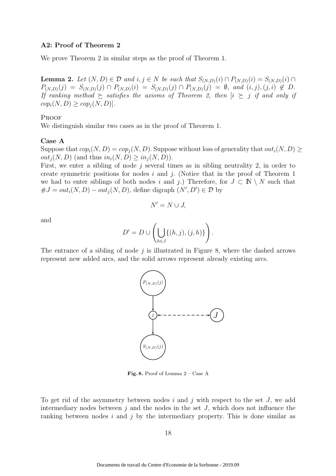#### A2: Proof of Theorem 2

We prove Theorem 2 in similar steps as the proof of Theorem 1.

**Lemma 2.** Let  $(N, D) \in \mathcal{D}$  and  $i, j \in N$  be such that  $S_{(N,D)}(i) \cap P_{(N,D)}(i) = S_{(N,D)}(i) \cap D_{(N,D)}(i)$  $P_{(N,D)}(j) = S_{(N,D)}(j) \cap P_{(N,D)}(i) = S_{(N,D)}(j) \cap P_{(N,D)}(j) = \emptyset$ , and  $(i, j), (j, i) \notin D$ . If ranking method  $\succeq$  satisfies the axioms of Theorem 2, then  $[i \succeq j$  if and only if  $cop_i(N, D) \ge cop_i(N, D)$ .

#### **PROOF**

We distinguish similar two cases as in the proof of Theorem 1.

#### Case A

Suppose that  $cop_i(N, D) = cop_i(N, D)$ . Suppose without loss of generality that  $out_i(N, D) \ge$  $out_i(N, D)$  (and thus  $in_i(N, D) \geq in_i(N, D)$ ).

First, we enter a sibling of node  $j$  several times as in sibling neutrality 2, in order to create symmetric positions for nodes  $i$  and  $j$ . (Notice that in the proof of Theorem 1 we had to enter siblings of both nodes i and j.) Therefore, for  $J \subset \mathbb{N} \setminus N$  such that  $\#J = out_i(N, D) - out_j(N, D)$ , define digraph  $(N', D') \in \mathcal{D}$  by

$$
N'=N\cup J,
$$

and

$$
D' = D \cup \left( \bigcup_{h \in J} \{ (h, j), (j, h) \} \right).
$$

The entrance of a sibling of node  $j$  is illustrated in Figure 8, where the dashed arrows represent new added arcs, and the solid arrows represent already existing arcs.



Fig. 8. Proof of Lemma 2 – Case A

To get rid of the asymmetry between nodes  $i$  and  $j$  with respect to the set  $J$ , we add intermediary nodes between  $j$  and the nodes in the set  $J$ , which does not influence the ranking between nodes  $i$  and  $j$  by the intermediary property. This is done similar as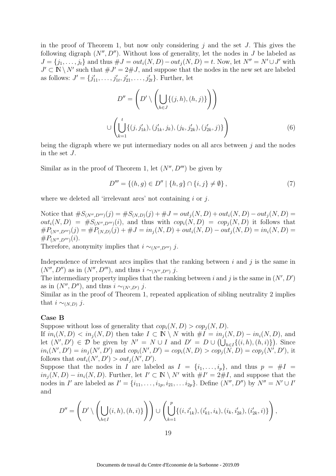in the proof of Theorem 1, but now only considering  $j$  and the set J. This gives the following digraph  $(N'', D'')$ . Without loss of generality, let the nodes in J be labeled as  $J = \{j_1, \ldots, j_t\}$  and thus  $\#J = out_i(N, D) - out_j(N, D) = t$ . Now, let  $N'' = N' \cup J'$  with  $J' \subset \mathbb{N} \setminus N'$  such that  $\# J' = 2\# J$ , and suppose that the nodes in the new set are labeled as follows:  $J' = \{j'_{11}, \ldots, j'_{1t}, j'_{21}, \ldots, j'_{2t}\}.$  Further, let

$$
D'' = \left( D' \setminus \left( \bigcup_{h \in J} \{ (j, h), (h, j) \} \right) \right)
$$
  

$$
\cup \left( \bigcup_{k=1}^t \{ (j, j'_{1k}), (j'_{1k}, j_k), (j_k, j'_{2k}), (j'_{2k}, j) \} \right)
$$
(6)

being the digraph where we put intermediary nodes on all arcs between  $j$  and the nodes in the set J.

Similar as in the proof of Theorem 1, let  $(N'', D''')$  be given by

$$
D''' = \{(h, g) \in D'' \mid \{h, g\} \cap \{i, j\} \neq \emptyset\},\tag{7}
$$

where we deleted all 'irrelevant arcs' not containing  $i$  or  $j$ .

Notice that  $\#S_{(N'',D''')}(j) = \#S_{(N,D)}(j) + \#J = out_i(N,D) + out_i(N,D) - out_i(N,D) =$  $out_i(N, D) = \#S_{(N'', D''')}(i)$ , and thus with  $cop_i(N, D) = cop_i(N, D)$  it follows that  $\#P_{(N'',D''')}(j) = \#P_{(N,D)}(j) + \#J = in_j(N,D) + out_i(N,D) - out_j(N,D) = in_i(N,D) =$  $\#P_{(N'',D''')}(i)$ .

Therefore, anonymity implies that  $i \sim_{(N'',D''')} j$ .

Independence of irrelevant arcs implies that the ranking between  $i$  and  $j$  is the same in  $(N'', D'')$  as in  $(N'', D''')$ , and thus  $i \sim_{(N'', D'')} i$ .

The intermediary property implies that the ranking between i and j is the same in  $(N', D')$ as in  $(N'', D'')$ , and thus  $i \sim_{(N', D')} j$ .

Similar as in the proof of Theorem 1, repeated application of sibling neutrality 2 implies that  $i \sim_{(N,D)} j$ .

#### Case B

Suppose without loss of generality that  $cop_i(N, D) > cop_i(N, D)$ .

If  $in_i(N, D) < in_j(N, D)$  then take  $I \subset \mathbb{N} \setminus N$  with  $\#I = in_j(N, D) - in_i(N, D)$ , and let  $(N', D') \in \mathcal{D}$  be given by  $N' = N \cup I$  and  $D' = D \cup (\bigcup_{h \in I} \{(i, h), (h, i)\})$ . Since  $in_i(N', D') = in_j(N', D')$  and  $cop_i(N', D') = cop_i(N, D) > cop_j(N, D) = cop_j(N', D'),$  it follows that  $out_i(N', D') > out_j(N', D')$ .

Suppose that the nodes in I are labeled as  $I = \{i_1, \ldots, i_p\}$ , and thus  $p = #I$  $in_j(N, D) - in_i(N, D)$ . Further, let  $I' \subset \mathbb{N} \setminus N'$  with  $\#I' = 2\#I$ , and suppose that the nodes in I' are labeled as  $I' = \{i_{11}, \ldots, i_{1p}, i_{21}, \ldots, i_{2p}\}$ . Define  $(N'', D'')$  by  $N'' = N' \cup I'$ and

$$
D'' = \left(D' \setminus \left(\bigcup_{h \in I} (i, h), (h, i)\right)\right) \cup \left(\bigcup_{k=1}^p \{(i, i'_{1k}), (i'_{k1}, i_k), (i_k, i'_{2k}), (i'_{2k}, i)\}\right),
$$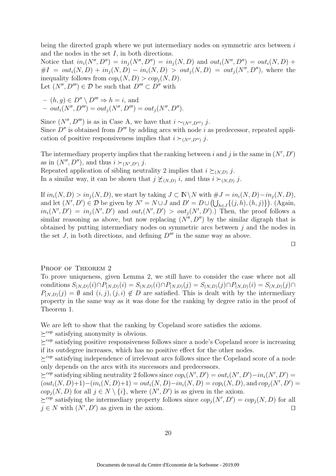being the directed graph where we put intermediary nodes on symmetric arcs between  $i$ and the nodes in the set  $I$ , in both directions.

Notice that  $in_i(N'', D'') = in_i(N'', D'') = in_i(N, D)$  and  $out_i(N'', D'') = out_i(N, D) +$  $#I = out_i(N, D) + in_i(N, D) - in_i(N, D) > out_i(N, D) = out_i(N'', D'')$ , where the inequality follows from  $cop_i(N, D) > cop_i(N, D)$ . Let  $(N'', D''') \in \mathcal{D}$  be such that  $D''' \subset D''$  with

$$
- (h, g) \in D'' \setminus D''' \Rightarrow h = i, \text{ and}
$$
  
-  $out_i(N'', D''') = out_j(N'', D'') = out_j(N'', D'').$ 

Since  $(N'', D''')$  is as in Case A, we have that  $i \sim_{(N'', D''')} j$ . Since  $D''$  is obtained from  $D'''$  by adding arcs with node i as predecessor, repeated application of positive responsiveness implies that  $i \succ_{(N'',D'')} j$ .

The intermediary property implies that the ranking between i and j is the same in  $(N', D')$ as in  $(N'', D'')$ , and thus  $i \succ_{(N', D')} j$ .

Repeated application of sibling neutrality 2 implies that  $i \succeq_{(N,D)} j$ . In a similar way, it can be shown that  $j \nleq (N,D)$  i, and thus  $i \succ (N,D)$  j.

If  $in_i(N, D) > in_j(N, D)$ , we start by taking  $J \subset \mathbb{N} \backslash N$  with  $\#J = in_i(N, D) - in_j(N, D)$ , and let  $(N', D') \in \mathcal{D}$  be given by  $N' = N \cup J$  and  $D' = D \cup (\bigcup_{h \in J} \{(j, h), (h, j)\})$ . (Again,  $in_i(N', D') = in_j(N', D')$  and  $out_i(N', D') > out_j(N', D')$ . Then, the proof follows a similar reasoning as above, but now replacing  $(N'', D'')$  by the similar digraph that is obtained by putting intermediary nodes on symmetric arcs between  $j$  and the nodes in the set J, in both directions, and defining  $D^{\prime\prime\prime}$  in the same way as above.

$$
\qquad \qquad \Box
$$

#### PROOF OF THEOREM 2

To prove uniqueness, given Lemma 2, we still have to consider the case where not all conditions  $S_{(N,D)}(i) \cap P_{(N,D)}(i) = S_{(N,D)}(i) \cap P_{(N,D)}(j) = S_{(N,D)}(j) \cap P_{(N,D)}(i) = S_{(N,D)}(j) \cap P_{(N,D)}(j)$  $P_{(N,D)}(j) = \emptyset$  and  $(i, j), (j, i) \notin D$  are satisfied. This is dealt with by the intermediary property in the same way as it was done for the ranking by degree ratio in the proof of Theorem 1.

We are left to show that the ranking by Copeland score satisfies the axioms.

 $\succ^{cop}$  satisfying anonymity is obvious.

 $\succ^{cop}$  satisfying positive responsiveness follows since a node's Copeland score is increasing if its outdegree increases, which has no positive effect for the other nodes.

 $\succ^{cop}$  satisfying independence of irrelevant arcs follows since the Copeland score of a node only depends on the arcs with its successors and predecessors.

 $\succeq^{cop}$  satisfying sibling neutrality 2 follows since  $cop_i(N', D') = out_i(N', D') - in_i(N', D') =$  $(out_i(N, D)+1)-(in_i(N, D)+1)=out_i(N, D)-in_i(N, D)=cop_i(N, D)$ , and  $cop_j(N', D')=$  $cop_j(N, D)$  for all  $j \in N \setminus \{i\}$ , where  $(N', D')$  is as given in the axiom.

 $\succeq^{cop}$  satisfying the intermediary property follows since  $cop_j(N', D') = cop_j(N, D)$  for all  $j \in N$  with  $(N', D')$  as given in the axiom. □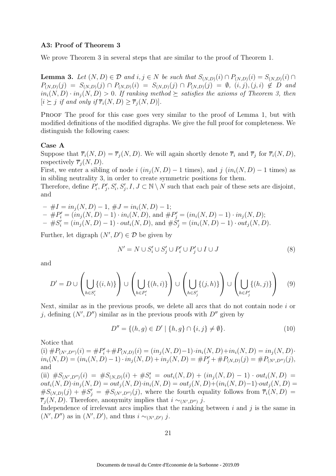#### A3: Proof of Theorem 3

We prove Theorem 3 in several steps that are similar to the proof of Theorem 1.

**Lemma 3.** Let  $(N, D) \in \mathcal{D}$  and  $i, j \in N$  be such that  $S_{(N,D)}(i) \cap P_{(N,D)}(i) = S_{(N,D)}(i) \cap D_{(N,D)}(i)$  $P_{(N,D)}(j) = S_{(N,D)}(j) \cap P_{(N,D)}(i) = S_{(N,D)}(j) \cap P_{(N,D)}(j) = \emptyset$ ,  $(i, j), (j, i) \notin D$  and  $in_i(N, D) \cdot in_j(N, D) > 0$ . If ranking method  $\succeq$  satisfies the axioms of Theorem 3, then  $[i \succ j$  if and only if  $\overline{r_i}(N, D) > \overline{r_i}(N, D)$ .

PROOF The proof for this case goes very similar to the proof of Lemma 1, but with modified definitions of the modified digraphs. We give the full proof for completeness. We distinguish the following cases:

#### Case A

Suppose that  $\overline{r}_i(N, D) = \overline{r}_j(N, D)$ . We will again shortly denote  $\overline{r}_i$  and  $\overline{r}_j$  for  $\overline{r}_i(N, D)$ , respectively  $\overline{r}_i(N, D)$ .

First, we enter a sibling of node i  $(in_i(N, D) - 1$  times), and j  $(in_i(N, D) - 1$  times) as in sibling neutrality 3, in order to create symmetric positions for them.

Therefore, define  $P'_i$  $P'_i, P'_j, S'_i, S'_j, I, J \subset \mathbb{N} \setminus N$  such that each pair of these sets are disjoint, and

 $-$  #I = in<sub>i</sub>(N, D) – 1, #J = in<sub>i</sub>(N, D) – 1;  $- \#P'_i = (in_j(N, D) - 1) \cdot in_i(N, D), \text{ and } \#P'_j = (in_i(N, D) - 1) \cdot in_j(N, D);$  $- \#S_i' = (in_j(N, D) - 1) \cdot out_i(N, D), \text{ and } \#S_j' = (in_i(N, D) - 1) \cdot out_j(N, D).$ 

Further, let digraph  $(N', D') \in \mathcal{D}$  be given by

$$
N' = N \cup S_i' \cup S_j' \cup P_i' \cup P_j' \cup I \cup J \tag{8}
$$

and

$$
D' = D \cup \left(\bigcup_{h \in S'_i} \{(i, h)\}\right) \cup \left(\bigcup_{h \in P'_i} \{(h, i)\}\right) \cup \left(\bigcup_{h \in S'_j} \{(j, h)\}\right) \cup \left(\bigcup_{h \in P'_j} \{(h, j)\}\right) \tag{9}
$$

Next, similar as in the previous proofs, we delete all arcs that do not contain node i or j, defining  $(N', D'')$  similar as in the previous proofs with  $D''$  given by

$$
D'' = \{(h, g) \in D' \mid \{h, g\} \cap \{i, j\} \neq \emptyset\}.
$$
\n(10)

Notice that

(i)  $\#P_{(N',D'')}(i) = \#P'_i + \#P_{(N,D)}(i) = (in_j(N,D)-1)\cdot in_i(N,D) + in_i(N,D) = in_j(N,D)$  $in_i(N, D) = (in_i(N, D) - 1) \cdot in_j(N, D) + in_j(N, D) = \#P'_j + \#P_{(N, D)}(j) = \#P_{(N', D'')}(j),$ and

(ii)  $\#S_{(N',D'')}(i) = \#S_{(N,D)}(i) + \#S'_i = out_i(N,D) + (in_j(N,D) - 1) \cdot out_i(N,D) =$  $out_i(N, D) \cdot in_j(N, D) = out_j(N, D) \cdot in_i(N, D) = out_j(N, D) + (in_i(N, D) - 1) \cdot out_j(N, D) =$  $\#S_{(N,D)}(j) + \#S'_{j} = \#S_{(N',D'')}(j)$ , where the fourth equality follows from  $\overline{r}_{i}(N, D) =$  $\overline{r}_j(N,D)$ . Therefore, anonymity implies that  $i \sim_{(N',D'')} j$ .

Independence of irrelevant arcs implies that the ranking between  $i$  and  $j$  is the same in  $(N', D'')$  as in  $(N', D')$ , and thus  $i \sim_{(N', D')} j$ .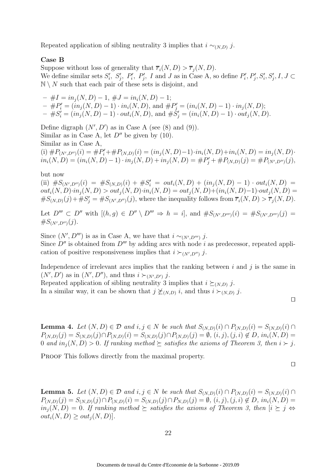Repeated application of sibling neutrality 3 implies that  $i \sim_{(N,D)} j$ .

### Case B

Suppose without loss of generality that  $\overline{r_i}(N, D) > \overline{r_j}(N, D)$ . We define similar sets  $S_i'$  $S'_i$ ,  $S'_j$ ,  $P'_i$ ,  $P'_j$ , I and J as in Case A, so define  $P'_i$  $P'_i, P'_j, S'_i, S'_j, I, J \subset$  $\mathbb{N} \setminus N$  such that each pair of these sets is disjoint, and

 $\#I = in_i(N, D) - 1$ ,  $\#J = in_i(N, D) - 1$ ;  $- \#P'_i = (in_j(N, D) - 1) \cdot in_i(N, D), \text{ and } \#P'_j = (in_i(N, D) - 1) \cdot in_j(N, D);$  $- \#S_i' = (in_j(N, D) - 1) \cdot out_i(N, D), \text{ and } \#S_j' = (in_i(N, D) - 1) \cdot out_j(N, D).$ 

Define digraph  $(N', D')$  as in Case A (see  $(8)$  and  $(9)$ ). Similar as in Case A, let  $D''$  be given by (10). Similar as in Case A,

(i)  $\#P_{(N',D'')}(i) = \#P'_i + \#P_{(N,D)}(i) = (in_j(N,D)-1) \cdot in_i(N,D) + in_i(N,D) = in_j(N,D) \cdot$  $in_i(N, D) = (in_i(N, D) - 1) \cdot in_j(N, D) + in_j(N, D) = \#P'_j + \#P_{(N, D)}(j) = \#P_{(N', D'')}(j),$ 

but now

(ii)  $\#S_{(N',D'')}(i) = \#S_{(N,D)}(i) + \#S'_i = out_i(N,D) + (in_j(N,D) - 1) \cdot out_i(N,D) =$  $out_i(N, D) \cdot in_i(N, D) > out_i(N, D) \cdot in_i(N, D) = out_i(N, D) + (in_i(N, D) - 1) \cdot out_i(N, D) =$  $\#S_{(N,D)}(j) + \#S'_{j} = \#S_{(N',D'')}(j)$ , where the inequality follows from  $\overline{r}_{i}(N,D) > \overline{r}_{j}(N,D)$ .

Let  $D''' \subset D''$  with  $[(h,g) \in D'' \setminus D'''' \Rightarrow h = i]$ , and  $#S_{(N',D''')}(i) = #S_{(N',D''')}(j) =$  $\#S_{(N',D'')}(j).$ 

Since  $(N', D''')$  is as in Case A, we have that  $i \sim_{(N', D''')} j$ . Since  $D''$  is obtained from  $D'''$  by adding arcs with node i as predecessor, repeated application of positive responsiveness implies that  $i \succ_{(N',D'')} j$ .

Independence of irrelevant arcs implies that the ranking between  $i$  and  $j$  is the same in  $(N', D')$  as in  $(N', D'')$ , and thus  $i \succ_{(N', D')} j$ .

Repeated application of sibling neutrality 3 implies that  $i \succeq_{(N,D)} j$ . In a similar way, it can be shown that  $j \npreceq_{(N,D)} i$ , and thus  $i \succ_{(N,D)} j$ .

**Lemma 4.** Let  $(N, D) \in \mathcal{D}$  and  $i, j \in N$  be such that  $S_{(N,D)}(i) \cap P_{(N,D)}(i) = S_{(N,D)}(i) \cap$  $P_{(N,D)}(j) = S_{(N,D)}(j) \cap P_{(N,D)}(i) = S_{(N,D)}(j) \cap P_{(N,D)}(j) = \emptyset$ ,  $(i, j), (j, i) \notin D$ ,  $in_i(N, D) =$ 0 and  $in_i(N, D) > 0$ . If ranking method  $\succeq$  satisfies the axioms of Theorem 3, then  $i \succ j$ .

PROOF This follows directly from the maximal property.

**Lemma 5.** Let  $(N, D) \in \mathcal{D}$  and  $i, j \in N$  be such that  $S_{(N,D)}(i) \cap P_{(N,D)}(i) = S_{(N,D)}(i) \cap D_{(N,D)}(i)$  $P_{(N,D)}(j) = S_{(N,D)}(j) \cap P_{(N,D)}(i) = S_{(N,D)}(j) \cap P_{N,D)}(j) = \emptyset$ ,  $(i, j)$ ,  $(j, i) \notin D$ ,  $in_i(N, D) =$  $in_j(N, D) = 0$ . If ranking method  $\succeq$  satisfies the axioms of Theorem 3, then  $[i \succeq j \Leftrightarrow j]$  $out_i(N, D) \ge out_i(N, D)$ .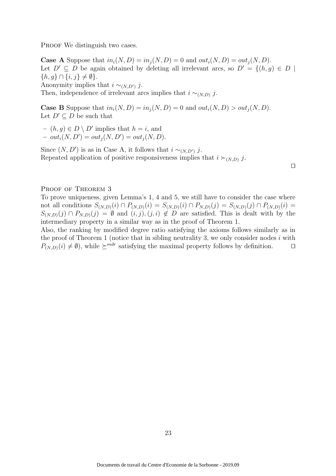PROOF We distinguish two cases.

**Case A** Suppose that  $in_i(N, D) = in_i(N, D) = 0$  and  $out_i(N, D) = out_i(N, D)$ . Let  $D' \subseteq D$  be again obtained by deleting all irrelevant arcs, so  $D' = \{(h, g) \in D \mid$  $\{h, g\} \cap \{i, j\} \neq \emptyset$ . Anonymity implies that  $i \sim_{(N,D')} j$ . Then, independence of irrelevant arcs implies that  $i \sim_{(N,D)} j$ .

**Case B** Suppose that  $in_i(N, D) = in_j(N, D) = 0$  and  $out_i(N, D) > out_j(N, D)$ . Let  $D' \subset D$  be such that

 $- (h, g) \in D \setminus D'$  implies that  $h = i$ , and

 $- out_i(N, D') = out_j(N, D') = out_j(N, D).$ 

Since  $(N, D')$  is as in Case A, it follows that  $i \sim_{(N, D')} j$ . Repeated application of positive responsiveness implies that  $i \succ_{(N,D)} j$ .

⊓⊔

#### PROOF OF THEOREM 3

To prove uniqueness, given Lemma's 1, 4 and 5, we still have to consider the case where not all conditions  $S_{(N,D)}(i) \cap P_{(N,D)}(i) = S_{(N,D)}(i) \cap P_{N,D)}(j) = S_{(N,D)}(j) \cap P_{(N,D)}(i)$  $S_{(N,D)}(j) \cap P_{N,D}(j) = \emptyset$  and  $(i, j), (j, i) \notin D$  are satisfied. This is dealt with by the intermediary property in a similar way as in the proof of Theorem 1.

Also, the ranking by modified degree ratio satisfying the axioms follows similarly as in the proof of Theorem 1 (notice that in sibling neutrality 3, we only consider nodes  $i$  with  $P_{(N,D)}(i) \neq \emptyset$ , while  $\succeq^{mdr}$  satisfying the maximal property follows by definition. □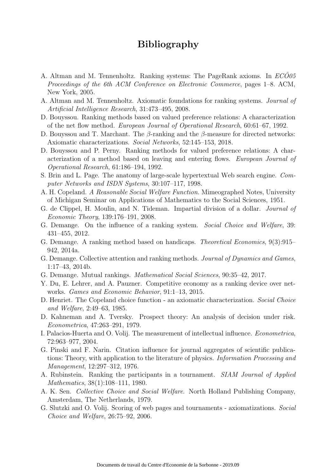# Bibliography

- A. Altman and M. Tennenholtz. Ranking systems: The PageRank axioms. In *ECO05* Proceedings of the 6th ACM Conference on Electronic Commerce, pages 1–8. ACM, New York, 2005.
- A. Altman and M. Tennenholtz. Axiomatic foundations for ranking systems. Journal of Artificial Intelligence Research, 31:473–495, 2008.
- D. Bouyssou. Ranking methods based on valued preference relations: A characterization of the net flow method. European Journal of Operational Research, 60:61–67, 1992.
- D. Bouyssou and T. Marchant. The  $\beta$ -ranking and the  $\beta$ -measure for directed networks: Axiomatic characterizations. Social Networks, 52:145–153, 2018.
- D. Bouyssou and P. Perny. Ranking methods for valued preference relations: A characterization of a method based on leaving and entering flows. European Journal of Operational Research, 61:186–194, 1992.
- S. Brin and L. Page. The anatomy of large-scale hypertextual Web search engine. Computer Networks and ISDN Systems, 30:107–117, 1998.
- A. H. Copeland. A Reasonable Social Welfare Function. Mimeographed Notes, University of Michigan Seminar on Applications of Mathematics to the Social Sciences, 1951.
- G. de Clippel, H. Moulin, and N. Tideman. Impartial division of a dollar. Journal of Economic Theory, 139:176–191, 2008.
- G. Demange. On the influence of a ranking system. Social Choice and Welfare, 39: 431–455, 2012.
- G. Demange. A ranking method based on handicaps. Theoretical Economics, 9(3):915– 942, 2014a.
- G. Demange. Collective attention and ranking methods. Journal of Dynamics and Games, 1:17–43, 2014b.
- G. Demange. Mutual rankings. Mathematical Social Sciences, 90:35–42, 2017.
- Y. Du, E. Lehrer, and A. Pauzner. Competitive economy as a ranking device over networks. Games and Economic Behavior, 91:1–13, 2015.
- D. Henriet. The Copeland choice function an axiomatic characterization. Social Choice and Welfare, 2:49–63, 1985.
- D. Kahneman and A. Tversky. Prospect theory: An analysis of decision under risk. Econometrica, 47:263–291, 1979.
- I. Palacios-Huerta and O. Volij. The measurement of intellectual influence. Econometrica, 72:963–977, 2004.
- G. Pinski and F. Narin. Citation influence for journal aggregates of scientific publications: Theory, with application to the literature of physics. Information Processing and Management, 12:297–312, 1976.
- A. Rubinstein. Ranking the participants in a tournament. SIAM Journal of Applied Mathematics, 38(1):108–111, 1980.
- A. K. Sen. Collective Choice and Social Welfare. North Holland Publishing Company, Amsterdam, The Netherlands, 1979.
- G. Slutzki and O. Volij. Scoring of web pages and tournaments axiomatizations. Social Choice and Welfare, 26:75–92, 2006.